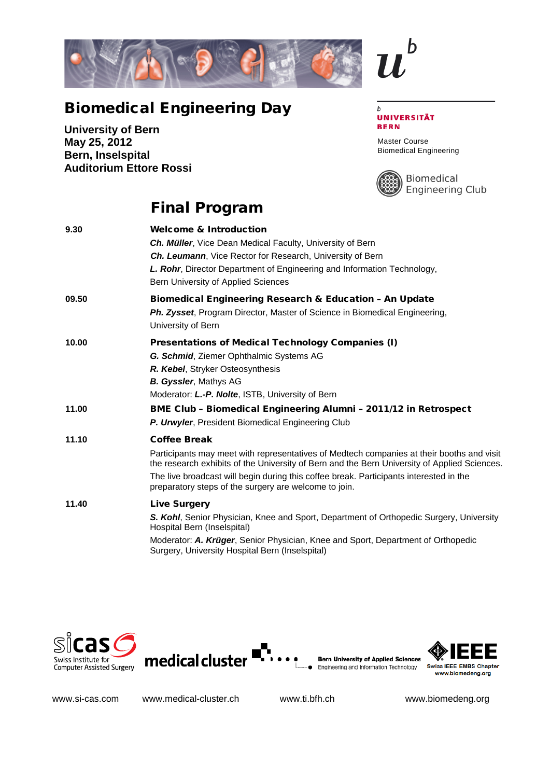

## Biomedical Engineering Day

**University of Bern May 25, 2012 Bern, Inselspital Auditorium Ettore Rossi**

## $\boldsymbol{b}$ **UNIVERSITÄT BERN**

h

Master Course Biomedical Engineering



Biomedical Engineering Club

## Final Program

| 9.30  | <b>Welcome &amp; Introduction</b>                                                                                                                                                         |
|-------|-------------------------------------------------------------------------------------------------------------------------------------------------------------------------------------------|
|       | Ch. Müller, Vice Dean Medical Faculty, University of Bern                                                                                                                                 |
|       | Ch. Leumann, Vice Rector for Research, University of Bern                                                                                                                                 |
|       | L. Rohr, Director Department of Engineering and Information Technology,                                                                                                                   |
|       | Bern University of Applied Sciences                                                                                                                                                       |
| 09.50 | <b>Biomedical Engineering Research &amp; Education - An Update</b>                                                                                                                        |
|       | <b>Ph. Zysset, Program Director, Master of Science in Biomedical Engineering,</b>                                                                                                         |
|       | University of Bern                                                                                                                                                                        |
| 10.00 | Presentations of Medical Technology Companies (I)                                                                                                                                         |
|       | G. Schmid, Ziemer Ophthalmic Systems AG                                                                                                                                                   |
|       | R. Kebel, Stryker Osteosynthesis                                                                                                                                                          |
|       | <b>B. Gyssler, Mathys AG</b>                                                                                                                                                              |
|       | Moderator: L.-P. Nolte, ISTB, University of Bern                                                                                                                                          |
| 11.00 | <b>BME Club - Biomedical Engineering Alumni - 2011/12 in Retrospect</b>                                                                                                                   |
|       | P. Urwyler, President Biomedical Engineering Club                                                                                                                                         |
| 11.10 | <b>Coffee Break</b>                                                                                                                                                                       |
|       | Participants may meet with representatives of Medtech companies at their booths and visit<br>the research exhibits of the University of Bern and the Bern University of Applied Sciences. |
|       | The live broadcast will begin during this coffee break. Participants interested in the<br>preparatory steps of the surgery are welcome to join.                                           |
| 11.40 | <b>Live Surgery</b>                                                                                                                                                                       |
|       | S. Kohl, Senior Physician, Knee and Sport, Department of Orthopedic Surgery, University<br>Hospital Bern (Inselspital)                                                                    |
|       | Moderator: A. Krüger, Senior Physician, Knee and Sport, Department of Orthopedic<br>Surgery, University Hospital Bern (Inselspital)                                                       |









www.si-cas.com www.medical-cluster.ch www.ti.bfh.ch www.biomedeng.org